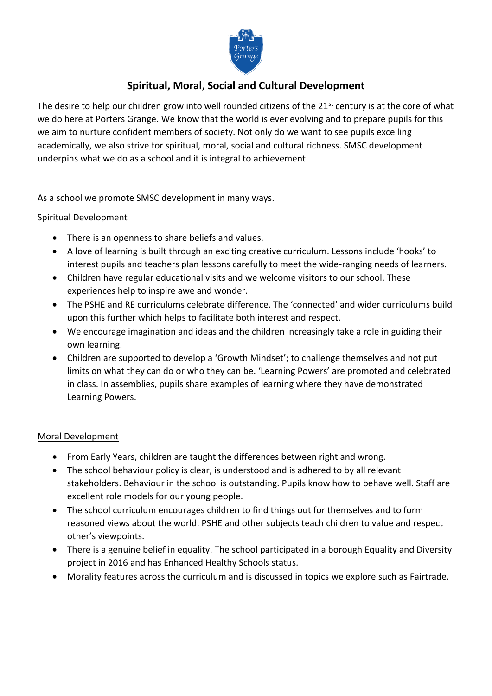

# **Spiritual, Moral, Social and Cultural Development**

The desire to help our children grow into well rounded citizens of the 21<sup>st</sup> century is at the core of what we do here at Porters Grange. We know that the world is ever evolving and to prepare pupils for this we aim to nurture confident members of society. Not only do we want to see pupils excelling academically, we also strive for spiritual, moral, social and cultural richness. SMSC development underpins what we do as a school and it is integral to achievement.

As a school we promote SMSC development in many ways.

## Spiritual Development

- There is an openness to share beliefs and values.
- A love of learning is built through an exciting creative curriculum. Lessons include 'hooks' to interest pupils and teachers plan lessons carefully to meet the wide-ranging needs of learners.
- Children have regular educational visits and we welcome visitors to our school. These experiences help to inspire awe and wonder.
- The PSHE and RE curriculums celebrate difference. The 'connected' and wider curriculums build upon this further which helps to facilitate both interest and respect.
- We encourage imagination and ideas and the children increasingly take a role in guiding their own learning.
- Children are supported to develop a 'Growth Mindset'; to challenge themselves and not put limits on what they can do or who they can be. 'Learning Powers' are promoted and celebrated in class. In assemblies, pupils share examples of learning where they have demonstrated Learning Powers.

## Moral Development

- From Early Years, children are taught the differences between right and wrong.
- The school behaviour policy is clear, is understood and is adhered to by all relevant stakeholders. Behaviour in the school is outstanding. Pupils know how to behave well. Staff are excellent role models for our young people.
- The school curriculum encourages children to find things out for themselves and to form reasoned views about the world. PSHE and other subjects teach children to value and respect other's viewpoints.
- There is a genuine belief in equality. The school participated in a borough Equality and Diversity project in 2016 and has Enhanced Healthy Schools status.
- Morality features across the curriculum and is discussed in topics we explore such as Fairtrade.